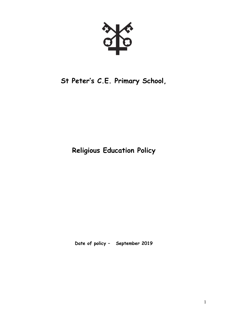# **St Peter's C.E. Primary School,**

**Religious Education Policy**

**Date of policy – September 2019**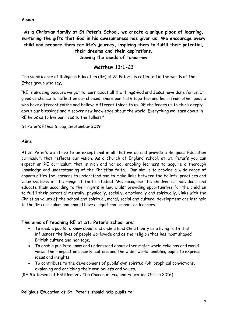## **Vision**

**As a Christian family at St Peter's School, we create a unique place of learning, nurturing the gifts that God in his awesomeness has given us. We encourage every child and prepare them for life's journey, inspiring them to fulfil their potential, their dreams and their aspirations.**

**Sowing the seeds of tomorrow**

# **Matthew 13:1-23**

The significance of Religious Education (RE) at St Peter's is reflected in the words of the Ethos group who say,

"RE is amazing because we get to learn about all the things God and Jesus have done for us. It gives us chance to reflect on our choices, share our faith together and learn from other people who have different faiths and believe different things to us. RE challenges us to think deeply about our blessings and discover new knowledge about the world. Everything we learn about in RE helps us to live our lives to the fullest."

St Peter's Ethos Group, September 2019

#### **Aims**

At St Peter's we strive to be exceptional in all that we do and provide a Religious Education curriculum that reflects our vision. As a Church of England school, at St. Peter's you can expect an RE curriculum that is rich and varied, enabling learners to acquire a thorough knowledge and understanding of the Christian faith. Our aim is to provide a wide range of opportunities for learners to understand and to make links between the beliefs, practices and value systems of the range of faiths studied. We recognise the children as individuals and educate them according to their rights in law, whilst providing opportunities for the children to fulfil their potential mentally, physically, socially, emotionally and spiritually. Links with the Christian values of the school and spiritual, moral, social and cultural development are intrinsic to the RE curriculum and should have a significant impact on learners.

## **The aims of teaching RE at St. Peter's school are:**

- To enable pupils to know about and understand Christianity as a living faith that influences the lives of people worldwide and as the religion that has most shaped British culture and heritage.
- To enable pupils to know and understand about other major world religions and world views, their impact on society, culture and the wider world, enabling pupils to express ideas and insights.
- To contribute to the development of pupils' own spiritual/philosophical convictions, exploring and enriching their own beliefs and values.

(RE Statement of Entitlement: The Church of England Education Office 2016)

**Religious Education at St. Peter's should help pupils to:**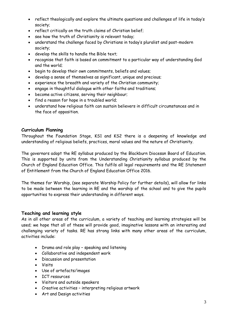- reflect theologically and explore the ultimate questions and challenges of life in today's society;
- reflect critically on the truth claims of Christian belief;
- see how the truth of Christianity is relevant today;
- understand the challenge faced by Christians in today's pluralist and post-modern society;
- develop the skills to handle the Bible text;
- recognise that faith is based on commitment to a particular way of understanding God and the world;
- begin to develop their own commitments, beliefs and values;
- develop a sense of themselves as significant, unique and precious;
- experience the breadth and variety of the Christian community;
- engage in thoughtful dialogue with other faiths and traditions;
- become active citizens, serving their neighbour;
- find a reason for hope in a troubled world;
- understand how religious faith can sustain believers in difficult circumstances and in the face of opposition.

## **Curriculum Planning**

Throughout the Foundation Stage, KS1 and KS2 there is a deepening of knowledge and understanding of religious beliefs, practices, moral values and the nature of Christianity.

The governors adopt the RE syllabus produced by the Blackburn Diocesan Board of Education. This is supported by units from the Understanding Christianity syllabus produced by the Church of England Education Office. This fulfils all legal requirements and the RE Statement of Entitlement from the Church of England Education Office 2016.

The themes for Worship, (see separate Worship Policy for further details), will allow for links to be made between the learning in RE and the worship of the school and to give the pupils opportunities to express their understanding in different ways.

# **Teaching and learning style**

As in all other areas of the curriculum, a variety of teaching and learning strategies will be used; we hope that all of these will provide good, imaginative lessons with an interesting and challenging variety of tasks. RE has strong links with many other areas of the curriculum, activities include:

- Drama and role play speaking and listening
- Collaborative and independent work
- Discussion and presentation
- Visits
- Use of artefacts/images
- ICT resources
- Visitors and outside speakers
- Creative activities interpreting religious artwork
- Art and Design activities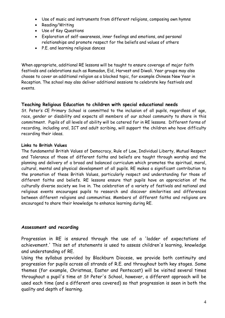- Use of music and instruments from different religions, composing own hymns
- Reading/Writing
- Use of Key Questions
- Exploration of self-awareness, inner feelings and emotions, and personal relationships and promote respect for the beliefs and values of others
- P.E. and learning religious dances

When appropriate, additional RE lessons will be taught to ensure coverage of major faith festivals and celebrations such as Ramadan, Eid, Harvest and Diwali. Year groups may also choose to cover an additional religion as a blocked topic, for example Chinese New Year in Reception. The school may also deliver additional sessions to celebrate key festivals and events.

# **Teaching Religious Education to children with special educational needs**

St. Peter's CE Primary School is committed to the inclusion of all pupils, regardless of age, race, gender or disability and expects all members of our school community to share in this commitment. Pupils of all levels of ability will be catered for in RE lessons. Different forms of recording, including oral, ICT and adult scribing, will support the children who have difficulty recording their ideas.

## **Links to British Values**

The fundamental British Values of Democracy, Rule of Law, Individual Liberty, Mutual Respect and Tolerance of those of different faiths and beliefs are taught through worship and the planning and delivery of a broad and balanced curriculum which promotes the spiritual, moral, cultural, mental and physical development of all pupils. RE makes a significant contribution to the promotion of these British Values, particularly respect and understanding for those of different faiths and beliefs. RE lessons ensure that pupils have an appreciation of the culturally diverse society we live in. The celebration of a variety of festivals and national and religious events encourages pupils to research and discover similarities and differences between different religions and communities. Members of different faiths and religions are encouraged to share their knowledge to enhance learning during RE.

## **Assessment and recording**

Progression in RE is ensured through the use of a 'ladder of expectations of achievement.' This set of statements is used to assess children's learning, knowledge and understanding of RE.

Using the syllabus provided by Blackburn Diocese, we provide both continuity and progression for pupils across all strands of R.E. and throughout both key stages. Some themes (for example, Christmas, Easter and Pentecost) will be visited several times throughout a pupil's time at St Peter's School, however, a different approach will be used each time (and a different area covered) so that progression is seen in both the quality and depth of learning.